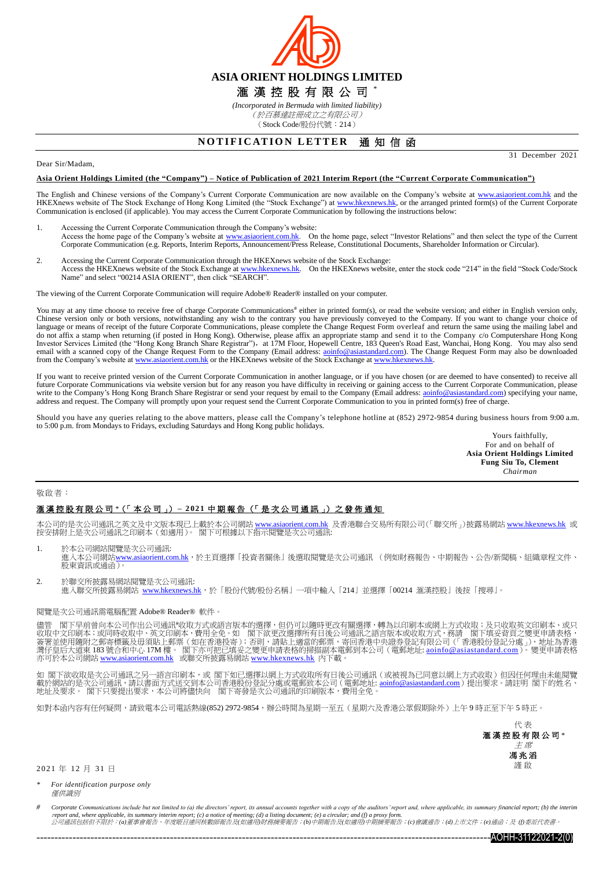

*(Incorporated in Bermuda with limited liability)* (於百慕達註冊成立之有限公司) (Stock Code/股份代號:214)

## **NOTIFICATION LETTER 通知信函**

31 December 2021

#### Dear Sir/Madam,

#### **Asia Orient Holdings Limited (the "Company") – Notice of Publication of 2021 Interim Report (the "Current Corporate Communication")**

The English and Chinese versions of the Company's Current Corporate Communication are now available on the Company's website at [www.asiaorient.com.hk](http://www.asiaorient.com.hk/) and the HKEXnews website of The Stock Exchange of Hong Kong Limited (the "Stock Exchange") at [www.hkexnews.hk,](http://www.hkexnews.hk/) or the arranged printed form(s) of the Current Corporate Communication is enclosed (if applicable). You may access the Current Corporate Communication by following the instructions below:

- 1. Accessing the Current Corporate Communication through the Company's website: Access the home page of the Company's website at [www.asiaorient.com.hk.](http://www.asiaorient.com.hk/) On the home page, select "Investor Relations" and then select the type of the Current Corporate Communication (e.g. Reports, Interim Reports, Announcement/Press Release, Constitutional Documents, Shareholder Information or Circular).
- 2. Accessing the Current Corporate Communication through the HKEXnews website of the Stock Exchange: Access the HKEXnews website of the Stock Exchange a[t www.hkexnews.hk.](http://www.hkexnews.hk/) On the HKEXnews website, enter the stock code "214" in the field "Stock Code/Stock Name" and select "00214 ASIA ORIENT", then click "SEARCH".

The viewing of the Current Corporate Communication will require Adobe® Reader® installed on your computer.

You may at any time choose to receive free of charge Corporate Communications<sup>#</sup> either in printed form(s), or read the website version; and either in English version only, Chinese version only or both versions, notwithsta language or means of receipt of the future Corporate Communications, please complete the Change Request Form overleaf and return the same using the mailing label and do not affix a stamp when returning (if posted in Hong Kong). Otherwise, please affix an appropriate stamp and send it to the Company c/o Computershare Hong Kong<br>Investor Services Limited (the "Hong Kong Branch Share Regis email with a scanned copy of the Change Request Form to the Company (Email address: aoinfo@asiastandard.com). The Change Request Form may also be downloaded from the Company's website a[t www.asiaorient.com.hk](http://www.asiaorient.com.hk/) or the HKEXnews website of the Stock Exchange at [www.hkexnews.hk.](http://www.hkexnews.hk/)

If you want to receive printed version of the Current Corporate Communication in another language, or if you have chosen (or are deemed to have consented) to receive all future Corporate Communications via website version but for any reason you have difficulty in receiving or gaining access to the Current Corporate Communication, please write to the Company's Hong Kong Branch Share Registr write to the Company's Hong Kong Branch Share Registrar or send your request by email to the Company (Email address: aoinfo@asiastanda address and request. The Company will promptly upon your request send the Current Corporate Communication to you in printed form(s) free of charge.

Should you have any queries relating to the above matters, please call the Company's telephone hotline at (852) 2972-9854 during business hours from 9:00 a.m. to 5:00 p.m. from Mondays to Fridays, excluding Saturdays and Hong Kong public holidays.

> Yours faithfully, For and on behalf of **Asia Orient Holdings Limited Fung Siu To, Clement** *Chairman*

#### 敬啟者:

### 滙 漢 控 股 有 限 公 司 *\**(「 本 公 司 」) **– 2 02 1** 中 期 報 告 (「 是 次 公 司 通 訊 」) 之 發 佈 通 知

本公司的是次公司通訊之英文及中文版本現已上載於本公司網站 www.asi<u>aorient.com.hk</u> 及香港聯合交易所有限公司(「聯交所」)披露易網站 <u>[www.hkexnews.hk](http://www.hkexnews.hk/index_c.htm)</u> 或<br>按安排附上是次公司通訊之印刷本(如適用)。 閣下可根據以下指示閱覽是次公司通訊:

- 1. 於本公司網站閱覽是次公司通訊:<br>進入本公司網站<u>[www.asiaorient.com.hk](http://www.asiaorient.com.hk/)</u>,於主頁選擇「投資者關係」後選取閱覽是次公司通訊 (例如財務報告、中期報告、公告/新聞稿、組織章程文件、 **經六十五 調和<u>出</u>**
- 2. 於聯交所披露易網站閱覽是次公司通訊: 進入聯交所披露易網站 [www.hkexnews.hk](http://www.hkexnews.hk/index_c.htm),於「股份代號/股份名稱」一項中輸入「214」並選擇「00214 滙漢控股」後按「搜尋」。

#### 閱覽是次公司通訊需電腦配置 Adobe® Reader® 軟件。

閣下早前曾向本公司作出公司通訊#收取方式或語言版本的選擇,但仍可以隨時更改有關選擇,轉為以印刷本或網上方式收取;及只收取英文印刷本、或只 收取中文印刷本;或同時收取中、英文印刷本,費用全免。如 閣下欲更改選擇所有日後公司通訊之語言版本或收取方式,務請 閣下填妥背頁之變更申請表格, 簽署並使用隨附之郵寄標籤及毋須貼上郵票(如在香港投寄);否則,請貼上適當的郵票,寄回香港中央證券登記有限公司(「香港股份登記分處」),地址為香港<br>灣仔皇后大道東 183 號合和中心 17M 樓。 閣下亦可把已填妥之變更申請表格的掃描副本電郵到本公司(電郵地址: <u>[aoinfo@asiastandard.com](http://aoinfo@asiastandard.com)</u>)。變更申請表格 亦可於本公司網站 <u>[www.asiaorient.com.hk](http://www.asiaorient.com.hk/)</u> 或聯交所披露易網站 <u>[www.hkexnews.hk](http://www.hkexnews.hk/index_c.htm)</u> 內下載。

如 閣下欲收取是次公司通訊之另一語言印刷本,或 閣下如已選擇以網上方式收取所有日後公司通訊(或被視為已同意以網上方式收取)但因任何理由未能閱覽 載於網站的是次公司通訊,請以書面方式送交到本公司香港股份登記分處或電郵致本公司(電郵地址: <u>[aoinfo@asiastandard.com](mailto:ao_info@asia-standard.com.hk)</u>)提出要求。請註明 閣下的姓名、 地址及要求。 閣下只要提出要求,本公司將儘快向 閣下寄發是次公司通訊的印刷版本,費用全免。

如對本函內容有任何疑問,請致電本公司電話熱線(852) 2972-9854,辦公時間為星期一至五(星期六及香港公眾假期除外)上午9時正至下午5時正。



2 0 21 年 12 月 31 日

*\* For identification purpose only* 僅供識別

Corporate Communications include but not limited to (a) the directors' report, its annual accounts together with a copy of the auditors' report and, where applicable, its summary financial report; (b) the interim <sup>r</sup>*eport and, where applicable, its summary interim report; (c) a notice of meeting; (d) a listing document; (e) a circular; and (f) a proxy form.* 公司通訊包括但不限於:*(a)*董事會報告、年度賬目連同核數師報告及*(*如適用*)*財務摘要報告;*(b)*中期報告及*(*如適用*)*中期摘要報告;*(c)*會議通告;*(d)*上市文件;*(e)*通函;及 *(f)*委派代表書。